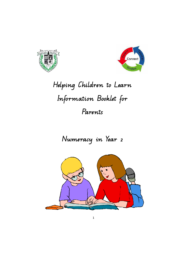



# **Helping Children to Learn Information Booklet for Parents**

# **Numeracy in Year 2**

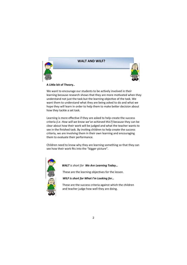

## **WALT AND WILF?**



#### **A Lile bit of Theory..**

We want to encourage our students to be actively involved in their learning because research shows that they are more motivated when they understand not just the task but the learning objective of the task. We want them to understand what they are being asked to do and what we hope they will learn in order to help them to make better decision about how they tackle a set task.

Learning is more effective if they are asked to help create the success criteria *(i.e. How will we know we've achieved this?)* because they can be clear about how their work will be judged and what the teacher wants to see in the finished task. By inviting children to help create the success criteria, we are involving them in their own learning and encouraging them to evaluate their performance.

Children need to know why they are learning something so that they can see how their work fits into the "bigger picture".



 *WALT is short for We Are Learning Today…* 

These are the learning objectives for the lesson.

#### *WILF is short for What I'm Looking for…*

 These are the success criteria against which the children and teacher judge how well they are doing.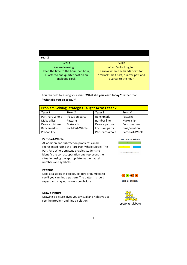| Year 2                                |                                        |
|---------------------------------------|----------------------------------------|
| WALT                                  | <b>WILF</b>                            |
| We are learning to                    | What I'm looking for                   |
| Read the time to the hour, half hour, | I know where the hands point for       |
| quarter to and quarter past on an     | "o'clock", half past, quarter past and |
| analogue clock.                       | quarter to the hour.                   |
|                                       |                                        |
|                                       |                                        |

You can help by asking your child "**What did you learn today?"** rather than **"What did you do today?"**

| <b>Problem Solving Strategies Taught Across Year 2</b> |                 |                 |                 |  |  |
|--------------------------------------------------------|-----------------|-----------------|-----------------|--|--|
| Term 1                                                 | Term 2          | Term 3          | Term 4          |  |  |
| Part-Part-Whole                                        | Focus on parts  | Benchmark-      | Patterns        |  |  |
| Make a list                                            | Patterns        | number line     | Make a list     |  |  |
| Draw a picture                                         | Make a list     | Draw a picture  | Benchmark-      |  |  |
| Benchmark-                                             | Part-Part-Whole | Focus on parts  | time/location   |  |  |
| Probability                                            |                 | Part-Part-Whole | Part-Part-Whole |  |  |

#### **Part-Part-Whole**

All addition and subtraction problems can be represented using the Part-Part-Whole Model. The Part-Part-Whole strategy enables students to identify the correct operation and represent the situation using the appropriate mathematical numbers and symbols**.** 



**Patterns** 

Look at a series of objects, colours or numbers to see if you can find a pattern. The pattern should repeat and may not always be obvious.



#### **Draw a Picture**

Drawing a picture gives you a visual and helps you to see the problem and find a solution.

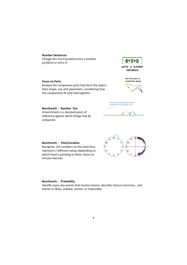#### **Number Sentences**

Change the word problem into a number problem to solve it.



write a number sentence

## **Focus on Parts**

Analyse the component parts that form the object their shape, size and placement, considering how the components fit and hold together.



**Benchmark - Number line**  A benchmark is a standard point of reference against which things may be compared.



 $^{\circ}10$ 

Benchmarking to 10 is fundamental to developing mental calculation skills

 $EG. 7 + 5 =$ 

710

**Benchmark - Time/Location** Recognise the numbers on the clock face, represent 2 different values depending on which hand is pointing to them: Hours or minute intervals

#### **Benchmark - Probability**

Identify every day events that involve chance, describe chance outcomes, and events as likely, unlikely, certain, or impossible.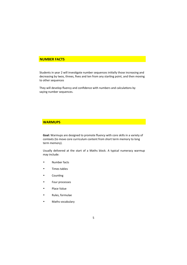#### **NUMBER FACTS**

Students in year 2 will investigate number sequences initially those increasing and decreasing by twos, threes, fives and ten from any starting point, and then moving to other sequences

They will develop fluency and confidence with numbers and calculations by saying number sequences.

## **WARMUPS**

**Goal:** Warmups are designed to promote fluency with core skills in a variety of contexts (to move core curriculum content from short term memory to long term memory).

Usually delivered at the start of a Maths block. A typical numeracy warmup may include:

- Number facts
- Times tables
- Counting
- Four processes
- Place Value
- Rules, formulae
- Maths vocabulary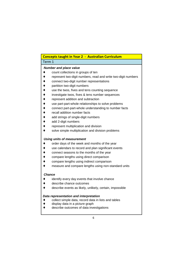## **Concepts taught in Year 2 - Australian Curriculum**

## Term 1

## **Number and place value**

- ♦ count collections in groups of ten
- represent two-digit numbers, read and write two-digit numbers
- connect two-digit number representations
- partition two-digit numbers
- use the twos, fives and tens counting sequence
- investigate twos, fives & tens number sequences
- represent addition and subtraction
- use part-part-whole relationships to solve problems
- ♦ connect part-part-whole understanding to number facts
- recall addition number facts
- add strings of single-digit numbers
- add 2-digit numbers
- represent multiplication and division
- solve simple multiplication and division problems

## **Using units of measurement**

- ♦ order days of the week and months of the year
- use calendars to record and plan significant events
- connect seasons to the months of the year
- compare lengths using direct comparison
- compare lengths using indirect comparison
- measure and compare lengths using non-standard units

## **Chance**

- ♦ identify every day events that involve chance
- describe chance outcomes
- ♦ describe events as likely, unlikely, certain, impossible

## **Data representation and interpretation**

- ♦ collect simple data, record data in lists and tables
- display data in a picture graph
- describe outcomes of data investigations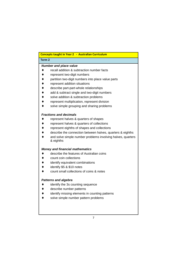| Concepts taught in Year 2 - Australian Curriculum |                                                                          |  |  |  |
|---------------------------------------------------|--------------------------------------------------------------------------|--|--|--|
| Term <sub>2</sub>                                 |                                                                          |  |  |  |
|                                                   | <b>Number and place value</b>                                            |  |  |  |
|                                                   | recall addition & subtraction number facts                               |  |  |  |
|                                                   | represent two-digit numbers                                              |  |  |  |
|                                                   | partition two-digit numbers into place value parts                       |  |  |  |
|                                                   | represent addition situations                                            |  |  |  |
|                                                   | describe part-part-whole relationships                                   |  |  |  |
|                                                   | add & subtract single and two-digit numbers                              |  |  |  |
|                                                   | solve addition & subtraction problems                                    |  |  |  |
|                                                   | represent multiplication, represent division                             |  |  |  |
|                                                   | solve simple grouping and sharing problems                               |  |  |  |
|                                                   | <b>Fractions and decimals</b>                                            |  |  |  |
|                                                   | represent halves & quarters of shapes                                    |  |  |  |
|                                                   | represent halves & quarters of collections                               |  |  |  |
|                                                   | represent eighths of shapes and collections                              |  |  |  |
|                                                   | describe the connection between halves, quarters & eighths               |  |  |  |
|                                                   | and solve simple number problems involving halves, quarters<br>& eighths |  |  |  |
|                                                   | <b>Money and financial mathematics</b>                                   |  |  |  |
|                                                   | describe the features of Australian coins                                |  |  |  |
|                                                   | count coin collections                                                   |  |  |  |
|                                                   | identify equivalent combinations                                         |  |  |  |
|                                                   | identify \$5 & \$10 notes                                                |  |  |  |
|                                                   | count small collections of coins & notes                                 |  |  |  |
|                                                   | <b>Patterns and algebra</b>                                              |  |  |  |
|                                                   | identify the 3s counting sequence                                        |  |  |  |
|                                                   | describe number patterns                                                 |  |  |  |
|                                                   | identify missing elements in counting patterns                           |  |  |  |
|                                                   | solve simple number pattern problems                                     |  |  |  |
|                                                   |                                                                          |  |  |  |
|                                                   |                                                                          |  |  |  |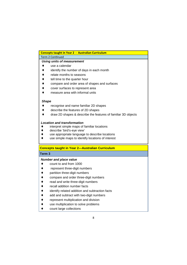|                   | <b>Concepts taught in Year 2 - Australian Curriculum</b>                  |  |
|-------------------|---------------------------------------------------------------------------|--|
|                   | Term 2 Continued                                                          |  |
|                   | <b>Using units of measurement</b>                                         |  |
|                   | use a calendar                                                            |  |
|                   | identify the number of days in each month                                 |  |
|                   | relate months to seasons                                                  |  |
|                   | tell time to the quarter hour                                             |  |
|                   | compare and order area of shapes and surfaces                             |  |
|                   | cover surfaces to represent area                                          |  |
|                   | measure area with informal units                                          |  |
| <b>Shape</b>      |                                                                           |  |
|                   | recognise and name familiar 2D shapes                                     |  |
|                   | describe the features of 2D shapes                                        |  |
|                   | draw 2D shapes & describe the features of familiar 3D objects             |  |
|                   |                                                                           |  |
|                   | <b>Location and transformation</b>                                        |  |
|                   | interpret simple maps of familiar locations<br>describe 'bird's-eye view' |  |
|                   | use appropriate language to describe locations                            |  |
|                   | use simple maps to identify locations of interest                         |  |
|                   |                                                                           |  |
|                   | <b>Concepts taught in Year 2-Australian Curriculum</b>                    |  |
| Term <sub>3</sub> |                                                                           |  |
|                   | <b>Number and place value</b>                                             |  |
|                   | count to and from 1000                                                    |  |
|                   | represent three-digit numbers                                             |  |
|                   | partition three-digit numbers                                             |  |
|                   | compare and order three-digit numbers                                     |  |
|                   | read and write three-digit numbers                                        |  |
|                   | recall addition number facts                                              |  |
|                   | identify related addition and subtraction facts                           |  |
|                   | add and subtract with two-digit numbers                                   |  |
|                   | represent multiplication and division                                     |  |
|                   | use multiplication to solve problems                                      |  |
|                   |                                                                           |  |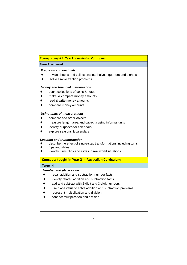## **Concepts taught in Year 2 - Australian Curriculum**

#### **Term 3 continued**

## **Fractions and decimals**

- ♦ divide shapes and collections into halves, quarters and eighths
- ♦ solve simple fraction problems

#### **Money and financial mathematics**

- ♦ count collections of coins & notes
- ♦ make & compare money amounts
- read & write money amounts
- compare money amounts

#### **Using units of measurement**

- ♦ compare and order objects
- ♦ measure length, area and capacity using informal units
- identify purposes for calendars
- ♦ explore seasons & calendars

#### **Location and transformation**

- ♦ describe the effect of single-step transformations including turns
- flips and slides
- identify turns, flips and slides in real world situations

## **Concepts taught in Year 2 - Australian Curriculum**

## **Term 4**

## **Number and place value**

- ♦ recall addition and subtraction number facts
- ♦ identify related addition and subtraction facts
- ♦ add and subtract with 2-digit and 3-digit numbers
- ♦ use place value to solve addition and subtraction problems
- ♦ represent multiplication and division
- ♦ connect multiplication and division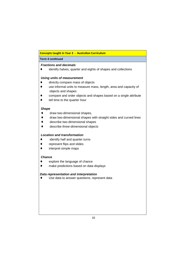## **Concepts taught in Year 2 - Australian Curriculum**

## **Term 4 continued**

## **Fractions and decimals**

♦ identify halves, quarter and eights of shapes and collections

## **Using units of measurement**

- ♦ directly compare mass of objects
- ♦ use informal units to measure mass, length, area and capacity of objects and shapes
- compare and order objects and shapes based on a single attribute
- ♦ tell time to the quarter hour

## **Shape**

- ♦ draw two-dimensional shapes,
- ♦ draw two-dimensional shapes with straight sides and curved lines
- ♦ describe two-dimensional shapes
- ♦ describe three-dimensional objects

## **Location and transformation**

- ♦ identify half and quarter turns
- ♦ represent flips and slides
- ♦ interpret simple maps

## **Chance**

- ♦ explore the language of chance
- ♦ make predictions based on data displays

## **Data representation and interpretation**

♦ Use data to answer questions, represent data